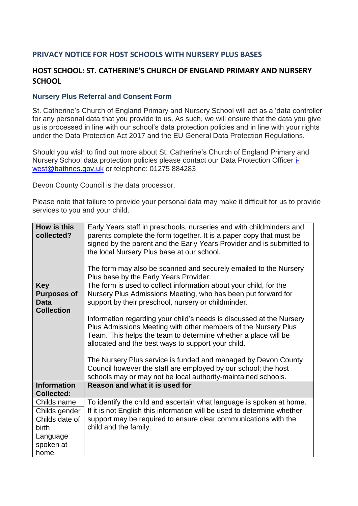## **PRIVACY NOTICE FOR HOST SCHOOLS WITH NURSERY PLUS BASES**

## **HOST SCHOOL: ST. CATHERINE'S CHURCH OF ENGLAND PRIMARY AND NURSERY SCHOOL**

## **Nursery Plus Referral and Consent Form**

St. Catherine's Church of England Primary and Nursery School will act as a 'data controller' for any personal data that you provide to us. As such, we will ensure that the data you give us is processed in line with our school's data protection policies and in line with your rights under the Data Protection Act 2017 and the EU General Data Protection Regulations.

Should you wish to find out more about St. Catherine's Church of England Primary and Nursery School data protection policies please contact our Data Protection Officer [i](mailto:i-west@bathnes.gov.uk)[west@bathnes.gov.uk](mailto:i-west@bathnes.gov.uk) or telephone: 01275 884283

Devon County Council is the data processor.

Please note that failure to provide your personal data may make it difficult for us to provide services to you and your child.

| How is this<br>collected?                                            | Early Years staff in preschools, nurseries and with childminders and<br>parents complete the form together. It is a paper copy that must be<br>signed by the parent and the Early Years Provider and is submitted to<br>the local Nursery Plus base at our school.<br>The form may also be scanned and securely emailed to the Nursery<br>Plus base by the Early Years Provider.                                                                                    |
|----------------------------------------------------------------------|---------------------------------------------------------------------------------------------------------------------------------------------------------------------------------------------------------------------------------------------------------------------------------------------------------------------------------------------------------------------------------------------------------------------------------------------------------------------|
| <b>Key</b><br><b>Purposes of</b><br><b>Data</b><br><b>Collection</b> | The form is used to collect information about your child, for the<br>Nursery Plus Admissions Meeting, who has been put forward for<br>support by their preschool, nursery or childminder.                                                                                                                                                                                                                                                                           |
|                                                                      | Information regarding your child's needs is discussed at the Nursery<br>Plus Admissions Meeting with other members of the Nursery Plus<br>Team. This helps the team to determine whether a place will be<br>allocated and the best ways to support your child.<br>The Nursery Plus service is funded and managed by Devon County<br>Council however the staff are employed by our school; the host<br>schools may or may not be local authority-maintained schools. |
| <b>Information</b><br><b>Collected:</b>                              | Reason and what it is used for                                                                                                                                                                                                                                                                                                                                                                                                                                      |
| Childs name                                                          | To identify the child and ascertain what language is spoken at home.                                                                                                                                                                                                                                                                                                                                                                                                |
| Childs gender                                                        | If it is not English this information will be used to determine whether                                                                                                                                                                                                                                                                                                                                                                                             |
| Childs date of<br>birth                                              | support may be required to ensure clear communications with the<br>child and the family.                                                                                                                                                                                                                                                                                                                                                                            |
| Language<br>spoken at<br>home                                        |                                                                                                                                                                                                                                                                                                                                                                                                                                                                     |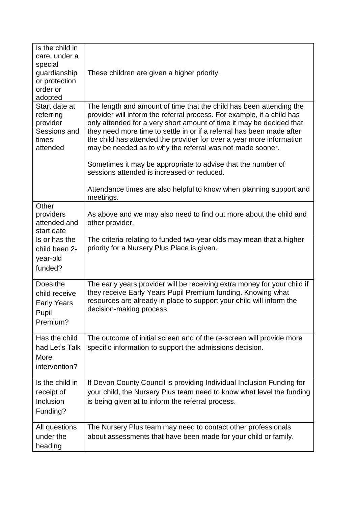| Is the child in<br>care, under a<br>special<br>guardianship<br>or protection<br>order or<br>adopted | These children are given a higher priority.                                                                                                                                                                                                                                                                                                                                                                                         |
|-----------------------------------------------------------------------------------------------------|-------------------------------------------------------------------------------------------------------------------------------------------------------------------------------------------------------------------------------------------------------------------------------------------------------------------------------------------------------------------------------------------------------------------------------------|
| Start date at<br>referring<br>provider<br>Sessions and<br>times<br>attended                         | The length and amount of time that the child has been attending the<br>provider will inform the referral process. For example, if a child has<br>only attended for a very short amount of time it may be decided that<br>they need more time to settle in or if a referral has been made after<br>the child has attended the provider for over a year more information<br>may be needed as to why the referral was not made sooner. |
|                                                                                                     | Sometimes it may be appropriate to advise that the number of<br>sessions attended is increased or reduced.                                                                                                                                                                                                                                                                                                                          |
|                                                                                                     | Attendance times are also helpful to know when planning support and<br>meetings.                                                                                                                                                                                                                                                                                                                                                    |
| Other<br>providers<br>attended and<br>start date                                                    | As above and we may also need to find out more about the child and<br>other provider.                                                                                                                                                                                                                                                                                                                                               |
| Is or has the<br>child been 2-<br>year-old<br>funded?                                               | The criteria relating to funded two-year olds may mean that a higher<br>priority for a Nursery Plus Place is given.                                                                                                                                                                                                                                                                                                                 |
| Does the<br>child receive<br><b>Early Years</b><br>Pupil<br>Premium?                                | The early years provider will be receiving extra money for your child if<br>they receive Early Years Pupil Premium funding. Knowing what<br>resources are already in place to support your child will inform the<br>decision-making process.                                                                                                                                                                                        |
| Has the child<br>had Let's Talk<br>More<br>intervention?                                            | The outcome of initial screen and of the re-screen will provide more<br>specific information to support the admissions decision.                                                                                                                                                                                                                                                                                                    |
| Is the child in<br>receipt of<br>Inclusion<br>Funding?                                              | If Devon County Council is providing Individual Inclusion Funding for<br>your child, the Nursery Plus team need to know what level the funding<br>is being given at to inform the referral process.                                                                                                                                                                                                                                 |
| All questions<br>under the<br>heading                                                               | The Nursery Plus team may need to contact other professionals<br>about assessments that have been made for your child or family.                                                                                                                                                                                                                                                                                                    |